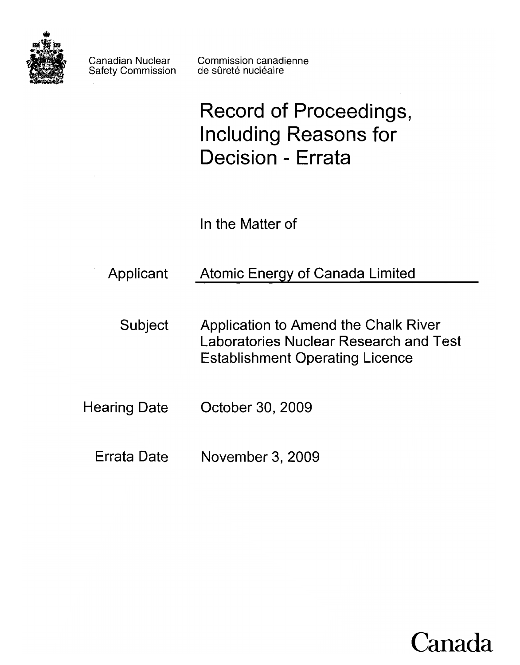

Safety Commission

Canadian Nuclear Commission canadienne<br>Safety Commission de sûreté nucléaire

**Record of Proceedings, Including Reasons for Decision - Errata** 

In the Matter of

- Applicant Atomic Energy of Canada Limited
	- Subject Application to Amend the Chalk River Laboratories Nuclear Research and Test Establishment Operating Licence
- Hearing Date October 30,2009
	- Errata Date November 3, 2009

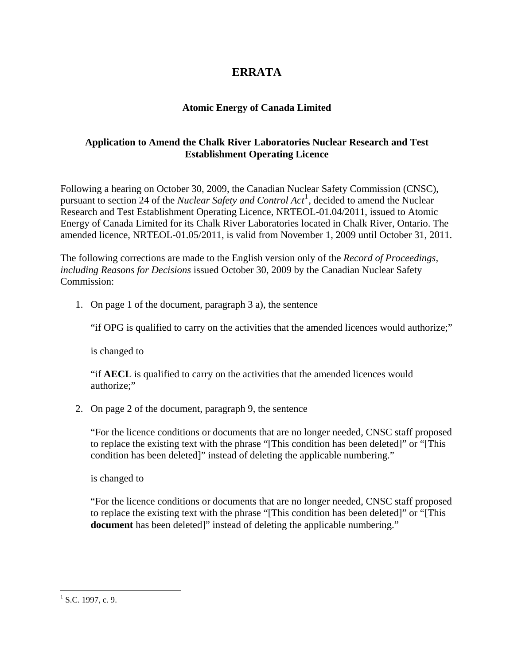## **ERRATA**

## **Atomic Energy of Canada Limited**

## **Application to Amend the Chalk River Laboratories Nuclear Research and Test Establishment Operating Licence**

Following a hearing on October 30, 2009, the Canadian Nuclear Safety Commission (CNSC), pursuant to section 24 of the *Nuclear Safety and Control Act*<sup>[1](#page-1-0)</sup>, decided to amend the Nuclear Research and Test Establishment Operating Licence, NRTEOL-01.04/2011, issued to Atomic Energy of Canada Limited for its Chalk River Laboratories located in Chalk River, Ontario. The amended licence, NRTEOL-01.05/2011, is valid from November 1, 2009 until October 31, 2011.

The following corrections are made to the English version only of the *Record of Proceedings, including Reasons for Decisions* issued October 30, 2009 by the Canadian Nuclear Safety Commission:

1. On page 1 of the document, paragraph 3 a), the sentence

"if OPG is qualified to carry on the activities that the amended licences would authorize;"

is changed to

"if **AECL** is qualified to carry on the activities that the amended licences would authorize;"

2. On page 2 of the document, paragraph 9, the sentence

"For the licence conditions or documents that are no longer needed, CNSC staff proposed to replace the existing text with the phrase "[This condition has been deleted]" or "[This condition has been deleted]" instead of deleting the applicable numbering."

is changed to

"For the licence conditions or documents that are no longer needed, CNSC staff proposed to replace the existing text with the phrase "[This condition has been deleted]" or "[This **document** has been deleted]" instead of deleting the applicable numbering."

<u>.</u>

<span id="page-1-0"></span> $^{1}$  S.C. 1997, c. 9.